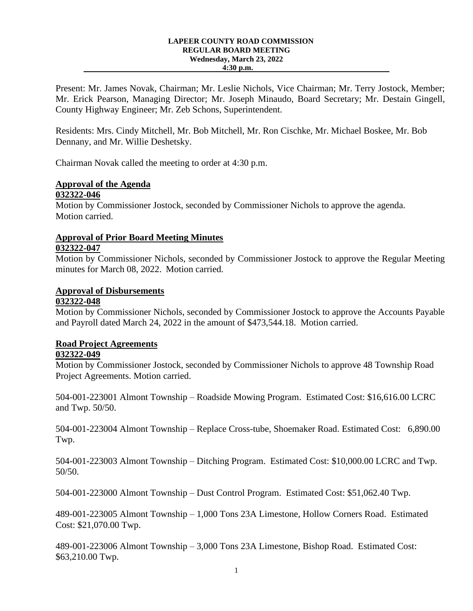#### **LAPEER COUNTY ROAD COMMISSION REGULAR BOARD MEETING Wednesday, March 23, 2022 4:30 p.m.**

Present: Mr. James Novak, Chairman; Mr. Leslie Nichols, Vice Chairman; Mr. Terry Jostock, Member; Mr. Erick Pearson, Managing Director; Mr. Joseph Minaudo, Board Secretary; Mr. Destain Gingell, County Highway Engineer; Mr. Zeb Schons, Superintendent.

Residents: Mrs. Cindy Mitchell, Mr. Bob Mitchell, Mr. Ron Cischke, Mr. Michael Boskee, Mr. Bob Dennany, and Mr. Willie Deshetsky.

Chairman Novak called the meeting to order at 4:30 p.m.

#### **Approval of the Agenda 032322-046**

Motion by Commissioner Jostock, seconded by Commissioner Nichols to approve the agenda. Motion carried.

#### **Approval of Prior Board Meeting Minutes 032322-047**

Motion by Commissioner Nichols, seconded by Commissioner Jostock to approve the Regular Meeting minutes for March 08, 2022. Motion carried.

### **Approval of Disbursements**

#### **032322-048**

Motion by Commissioner Nichols, seconded by Commissioner Jostock to approve the Accounts Payable and Payroll dated March 24, 2022 in the amount of \$473,544.18. Motion carried.

# **Road Project Agreements**

#### **032322-049**

Motion by Commissioner Jostock, seconded by Commissioner Nichols to approve 48 Township Road Project Agreements. Motion carried.

504-001-223001 Almont Township – Roadside Mowing Program. Estimated Cost: \$16,616.00 LCRC and Twp. 50/50.

504-001-223004 Almont Township – Replace Cross-tube, Shoemaker Road. Estimated Cost: 6,890.00 Twp.

504-001-223003 Almont Township – Ditching Program. Estimated Cost: \$10,000.00 LCRC and Twp. 50/50.

504-001-223000 Almont Township – Dust Control Program. Estimated Cost: \$51,062.40 Twp.

489-001-223005 Almont Township – 1,000 Tons 23A Limestone, Hollow Corners Road. Estimated Cost: \$21,070.00 Twp.

489-001-223006 Almont Township – 3,000 Tons 23A Limestone, Bishop Road. Estimated Cost: \$63,210.00 Twp.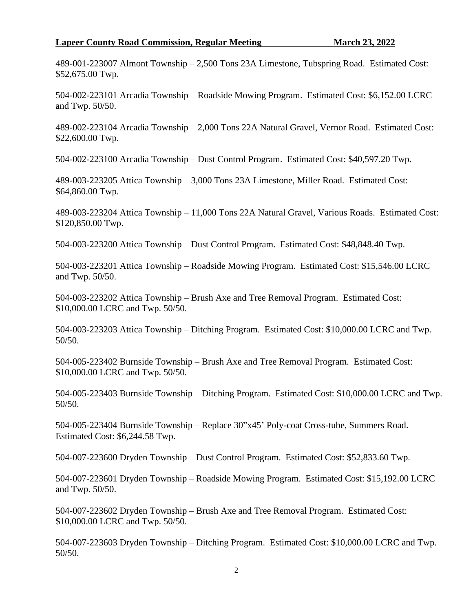#### **Lapeer County Road Commission, Regular Meeting March 23, 2022**

489-001-223007 Almont Township – 2,500 Tons 23A Limestone, Tubspring Road. Estimated Cost: \$52,675.00 Twp.

504-002-223101 Arcadia Township – Roadside Mowing Program. Estimated Cost: \$6,152.00 LCRC and Twp. 50/50.

489-002-223104 Arcadia Township – 2,000 Tons 22A Natural Gravel, Vernor Road. Estimated Cost: \$22,600.00 Twp.

504-002-223100 Arcadia Township – Dust Control Program. Estimated Cost: \$40,597.20 Twp.

489-003-223205 Attica Township – 3,000 Tons 23A Limestone, Miller Road. Estimated Cost: \$64,860.00 Twp.

489-003-223204 Attica Township – 11,000 Tons 22A Natural Gravel, Various Roads. Estimated Cost: \$120,850.00 Twp.

504-003-223200 Attica Township – Dust Control Program. Estimated Cost: \$48,848.40 Twp.

504-003-223201 Attica Township – Roadside Mowing Program. Estimated Cost: \$15,546.00 LCRC and Twp. 50/50.

504-003-223202 Attica Township – Brush Axe and Tree Removal Program. Estimated Cost: \$10,000.00 LCRC and Twp. 50/50.

504-003-223203 Attica Township – Ditching Program. Estimated Cost: \$10,000.00 LCRC and Twp. 50/50.

504-005-223402 Burnside Township – Brush Axe and Tree Removal Program. Estimated Cost: \$10,000.00 LCRC and Twp. 50/50.

504-005-223403 Burnside Township – Ditching Program. Estimated Cost: \$10,000.00 LCRC and Twp. 50/50.

504-005-223404 Burnside Township – Replace 30"x45' Poly-coat Cross-tube, Summers Road. Estimated Cost: \$6,244.58 Twp.

504-007-223600 Dryden Township – Dust Control Program. Estimated Cost: \$52,833.60 Twp.

504-007-223601 Dryden Township – Roadside Mowing Program. Estimated Cost: \$15,192.00 LCRC and Twp. 50/50.

504-007-223602 Dryden Township – Brush Axe and Tree Removal Program. Estimated Cost: \$10,000.00 LCRC and Twp. 50/50.

504-007-223603 Dryden Township – Ditching Program. Estimated Cost: \$10,000.00 LCRC and Twp. 50/50.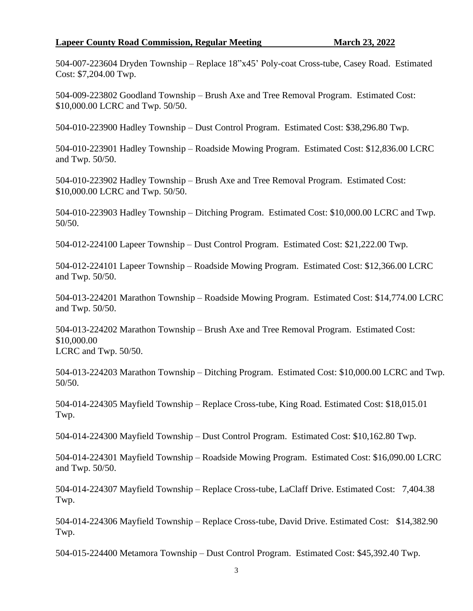#### **Lapeer County Road Commission, Regular Meeting March 23, 2022**

504-007-223604 Dryden Township – Replace 18"x45' Poly-coat Cross-tube, Casey Road. Estimated Cost: \$7,204.00 Twp.

504-009-223802 Goodland Township – Brush Axe and Tree Removal Program. Estimated Cost: \$10,000.00 LCRC and Twp. 50/50.

504-010-223900 Hadley Township – Dust Control Program. Estimated Cost: \$38,296.80 Twp.

504-010-223901 Hadley Township – Roadside Mowing Program. Estimated Cost: \$12,836.00 LCRC and Twp. 50/50.

504-010-223902 Hadley Township – Brush Axe and Tree Removal Program. Estimated Cost: \$10,000.00 LCRC and Twp. 50/50.

504-010-223903 Hadley Township – Ditching Program. Estimated Cost: \$10,000.00 LCRC and Twp. 50/50.

504-012-224100 Lapeer Township – Dust Control Program. Estimated Cost: \$21,222.00 Twp.

504-012-224101 Lapeer Township – Roadside Mowing Program. Estimated Cost: \$12,366.00 LCRC and Twp. 50/50.

504-013-224201 Marathon Township – Roadside Mowing Program. Estimated Cost: \$14,774.00 LCRC and Twp. 50/50.

504-013-224202 Marathon Township – Brush Axe and Tree Removal Program. Estimated Cost: \$10,000.00 LCRC and Twp. 50/50.

504-013-224203 Marathon Township – Ditching Program. Estimated Cost: \$10,000.00 LCRC and Twp. 50/50.

504-014-224305 Mayfield Township – Replace Cross-tube, King Road. Estimated Cost: \$18,015.01 Twp.

504-014-224300 Mayfield Township – Dust Control Program. Estimated Cost: \$10,162.80 Twp.

504-014-224301 Mayfield Township – Roadside Mowing Program. Estimated Cost: \$16,090.00 LCRC and Twp. 50/50.

504-014-224307 Mayfield Township – Replace Cross-tube, LaClaff Drive. Estimated Cost: 7,404.38 Twp.

504-014-224306 Mayfield Township – Replace Cross-tube, David Drive. Estimated Cost: \$14,382.90 Twp.

504-015-224400 Metamora Township – Dust Control Program. Estimated Cost: \$45,392.40 Twp.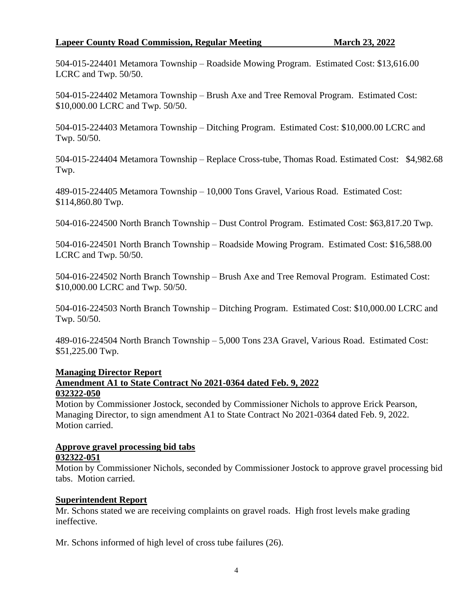### **Lapeer County Road Commission, Regular Meeting March 23, 2022**

504-015-224401 Metamora Township – Roadside Mowing Program. Estimated Cost: \$13,616.00 LCRC and Twp. 50/50.

504-015-224402 Metamora Township – Brush Axe and Tree Removal Program. Estimated Cost: \$10,000.00 LCRC and Twp. 50/50.

504-015-224403 Metamora Township – Ditching Program. Estimated Cost: \$10,000.00 LCRC and Twp. 50/50.

504-015-224404 Metamora Township – Replace Cross-tube, Thomas Road. Estimated Cost: \$4,982.68 Twp.

489-015-224405 Metamora Township – 10,000 Tons Gravel, Various Road. Estimated Cost: \$114,860.80 Twp.

504-016-224500 North Branch Township – Dust Control Program. Estimated Cost: \$63,817.20 Twp.

504-016-224501 North Branch Township – Roadside Mowing Program. Estimated Cost: \$16,588.00 LCRC and Twp. 50/50.

504-016-224502 North Branch Township – Brush Axe and Tree Removal Program. Estimated Cost: \$10,000.00 LCRC and Twp. 50/50.

504-016-224503 North Branch Township – Ditching Program. Estimated Cost: \$10,000.00 LCRC and Twp. 50/50.

489-016-224504 North Branch Township – 5,000 Tons 23A Gravel, Various Road. Estimated Cost: \$51,225.00 Twp.

#### **Managing Director Report Amendment A1 to State Contract No 2021-0364 dated Feb. 9, 2022 032322-050**

Motion by Commissioner Jostock, seconded by Commissioner Nichols to approve Erick Pearson, Managing Director, to sign amendment A1 to State Contract No 2021-0364 dated Feb. 9, 2022. Motion carried.

## **Approve gravel processing bid tabs**

#### **032322-051**

Motion by Commissioner Nichols, seconded by Commissioner Jostock to approve gravel processing bid tabs. Motion carried.

#### **Superintendent Report**

Mr. Schons stated we are receiving complaints on gravel roads. High frost levels make grading ineffective.

Mr. Schons informed of high level of cross tube failures (26).